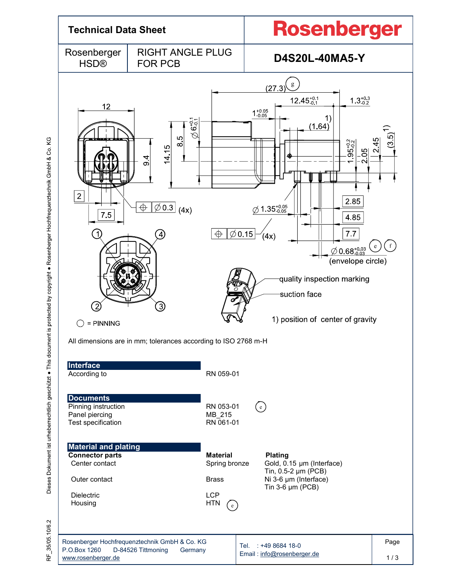

RF 35/05.10/6.2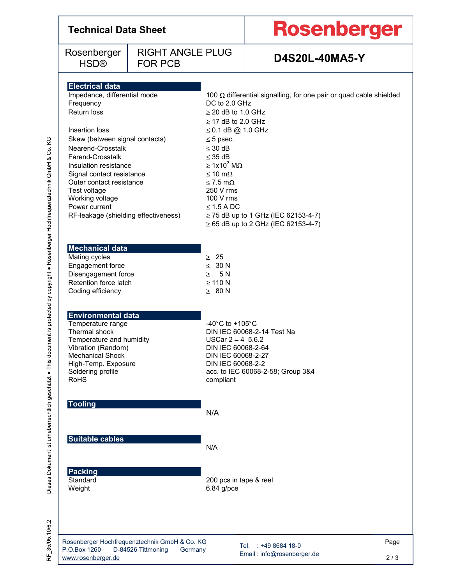| <b>Technical Data Sheet</b>                                                                                                                                                                                                                                                                                                                                   |                                                                                |                                                                                                                                                                                                                                                                                 | Rosenberger                                                                                                           |             |  |
|---------------------------------------------------------------------------------------------------------------------------------------------------------------------------------------------------------------------------------------------------------------------------------------------------------------------------------------------------------------|--------------------------------------------------------------------------------|---------------------------------------------------------------------------------------------------------------------------------------------------------------------------------------------------------------------------------------------------------------------------------|-----------------------------------------------------------------------------------------------------------------------|-------------|--|
| Rosenberger<br><b>HSD®</b>                                                                                                                                                                                                                                                                                                                                    | <b>RIGHT ANGLE PLUG</b><br><b>FOR PCB</b>                                      |                                                                                                                                                                                                                                                                                 | <b>D4S20L-40MA5-Y</b>                                                                                                 |             |  |
| <b>Electrical data</b><br>Impedance, differential mode<br>Frequency<br>Return loss<br>Insertion loss<br>Skew (between signal contacts)<br>Nearend-Crosstalk<br>Farend-Crosstalk<br>Insulation resistance<br>Signal contact resistance<br>Outer contact resistance<br>Test voltage<br>Working voltage<br>Power current<br>RF-leakage (shielding effectiveness) |                                                                                | DC to 2.0 GHz<br>$\geq$ 20 dB to 1.0 GHz<br>$\geq$ 17 dB to 2.0 GHz<br>$\leq$ 0.1 dB @ 1.0 GHz<br>$\leq$ 5 psec.<br>$\leq$ 30 dB<br>$\leq$ 35 dB<br>$\geq 1x10^3$ M $\Omega$<br>$\leq 10 \text{ m}\Omega$<br>$\leq$ 7.5 m $\Omega$<br>250 V rms<br>100 V rms<br>$\leq$ 1.5 A DC | 100 $\Omega$ differential signalling, for one pair or quad cable shielded<br>$\geq$ 75 dB up to 1 GHz (IEC 62153-4-7) |             |  |
| <b>Mechanical data</b><br>Mating cycles<br>Engagement force<br>Disengagement force<br>Retention force latch<br>Coding efficiency                                                                                                                                                                                                                              |                                                                                | $\geq 25$<br>$\leq 30 N$<br>$\geq$ 5N<br>$\geq$ 110 N<br>$\geq 80 N$                                                                                                                                                                                                            | $\geq$ 65 dB up to 2 GHz (IEC 62153-4-7)                                                                              |             |  |
| <b>Environmental data</b><br>Temperature range<br>Thermal shock<br>Temperature and humidity<br>Vibration (Random)<br><b>Mechanical Shock</b><br>High-Temp. Exposure<br>Soldering profile<br><b>RoHS</b>                                                                                                                                                       |                                                                                | -40 $^{\circ}$ C to +105 $^{\circ}$ C<br>USCar $2 - 4$ 5.6.2<br>DIN IEC 60068-2-64<br>DIN IEC 60068-2-27<br>DIN IEC 60068-2-2<br>compliant                                                                                                                                      | DIN IEC 60068-2-14 Test Na<br>acc. to IEC 60068-2-58; Group 3&4                                                       |             |  |
| <b>Tooling</b>                                                                                                                                                                                                                                                                                                                                                |                                                                                | N/A                                                                                                                                                                                                                                                                             |                                                                                                                       |             |  |
| Suitable cables                                                                                                                                                                                                                                                                                                                                               |                                                                                | N/A                                                                                                                                                                                                                                                                             |                                                                                                                       |             |  |
| <b>Packing</b><br>Standard<br>Weight                                                                                                                                                                                                                                                                                                                          |                                                                                | 200 pcs in tape & reel<br>$6.84$ g/pce                                                                                                                                                                                                                                          |                                                                                                                       |             |  |
| P.O.Box 1260<br>www.rosenberger.de                                                                                                                                                                                                                                                                                                                            | Rosenberger Hochfrequenztechnik GmbH & Co. KG<br>D-84526 Tittmoning<br>Germany |                                                                                                                                                                                                                                                                                 | Tel. : +49 8684 18-0<br>Email: info@rosenberger.de                                                                    | Page<br>2/3 |  |

RF\_35/05.10/6.2